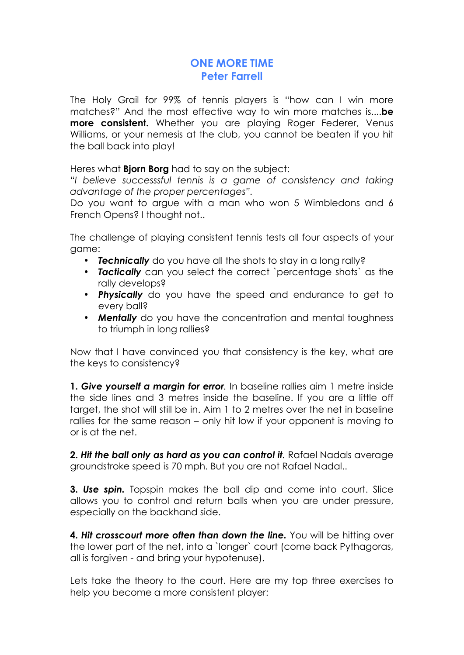## **ONE MORE TIME Peter Farrell**

The Holy Grail for 99% of tennis players is "how can I win more matches?" And the most effective way to win more matches is....**be more consistent.** Whether you are playing Roger Federer, Venus Williams, or your nemesis at the club, you cannot be beaten if you hit the ball back into play!

Heres what **Bjorn Borg** had to say on the subject:

*"I believe successsful tennis is a game of consistency and taking advantage of the proper percentages".*

Do you want to argue with a man who won 5 Wimbledons and 6 French Opens? I thought not..

The challenge of playing consistent tennis tests all four aspects of your game:

- *Technically* do you have all the shots to stay in a long rally?
- *Tactically* can you select the correct `percentage shots` as the rally develops?
- *Physically* do you have the speed and endurance to get to every ball?
- *Mentally* do you have the concentration and mental toughness to triumph in long rallies?

Now that I have convinced you that consistency is the key, what are the keys to consistency?

**1.** *Give yourself a margin for error.* In baseline rallies aim 1 metre inside the side lines and 3 metres inside the baseline. If you are a little off target, the shot will still be in. Aim 1 to 2 metres over the net in baseline rallies for the same reason – only hit low if your opponent is moving to or is at the net.

**2.** *Hit the ball only as hard as you can control it.* Rafael Nadals average groundstroke speed is 70 mph. But you are not Rafael Nadal..

**3.** *Use spin.* Topspin makes the ball dip and come into court. Slice allows you to control and return balls when you are under pressure, especially on the backhand side.

**4.** *Hit crosscourt more often than down the line.* You will be hitting over the lower part of the net, into a `longer` court (come back Pythagoras, all is forgiven - and bring your hypotenuse).

Lets take the theory to the court. Here are my top three exercises to help you become a more consistent player: